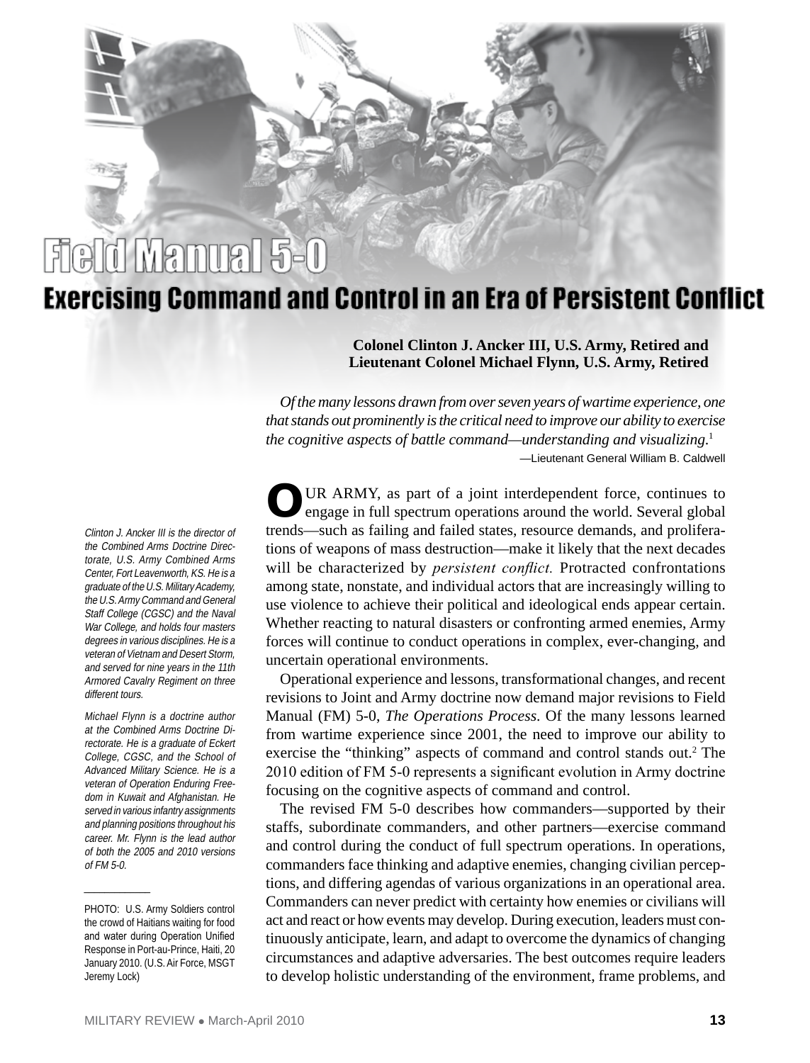

## **Exercising Command and Control in an Era of Persistent Conflict**

#### **Colonel Clinton J. Ancker III, U.S. Army, Retired and Lieutenant Colonel Michael Flynn, U.S. Army, Retired**

*Of the many lessons drawn from over seven years of wartime experience, one that stands out prominently is the critical need to improve our ability to exercise the cognitive aspects of battle command—understanding and visualizing*. 1 —Lieutenant General William B. Caldwell

Clinton J. Ancker III is the director of the Combined Arms Doctrine Directorate, U.S. Army Combined Arms Center, Fort Leavenworth, KS. He is a graduate of the U.S. Military Academy, the U.S. Army Command and General Staff College (CGSC) and the Naval War College, and holds four masters degrees in various disciplines. He is a veteran of Vietnam and Desert Storm, and served for nine years in the 11th Armored Cavalry Regiment on three different tours.

Michael Flynn is a doctrine author at the Combined Arms Doctrine Directorate. He is a graduate of Eckert College, CGSC, and the School of Advanced Military Science. He is a veteran of Operation Enduring Freedom in Kuwait and Afghanistan. He served in various infantry assignments and planning positions throughout his career. Mr. Flynn is the lead author of both the 2005 and 2010 versions of FM 5-0.

OUR ARMY, as part of a joint interdependent force, continues to engage in full spectrum operations around the world. Several global trends—such as failing and failed states, resource demands, and proliferations of weapons of mass destruction—make it likely that the next decades will be characterized by *persistent conflict.* Protracted confrontations among state, nonstate, and individual actors that are increasingly willing to use violence to achieve their political and ideological ends appear certain. Whether reacting to natural disasters or confronting armed enemies, Army forces will continue to conduct operations in complex, ever-changing, and uncertain operational environments.

Operational experience and lessons, transformational changes, and recent revisions to Joint and Army doctrine now demand major revisions to Field Manual (FM) 5-0, *The Operations Process*. Of the many lessons learned from wartime experience since 2001, the need to improve our ability to exercise the "thinking" aspects of command and control stands out.<sup>2</sup> The 2010 edition of FM 5-0 represents a significant evolution in Army doctrine focusing on the cognitive aspects of command and control.

The revised FM 5-0 describes how commanders—supported by their staffs, subordinate commanders, and other partners—exercise command and control during the conduct of full spectrum operations. In operations, commanders face thinking and adaptive enemies, changing civilian perceptions, and differing agendas of various organizations in an operational area. Commanders can never predict with certainty how enemies or civilians will act and react or how events may develop. During execution, leaders must continuously anticipate, learn, and adapt to overcome the dynamics of changing circumstances and adaptive adversaries. The best outcomes require leaders to develop holistic understanding of the environment, frame problems, and

PHOTO: U.S. Army Soldiers control the crowd of Haitians waiting for food and water during Operation Unified Response in Port-au-Prince, Haiti, 20 January 2010. (U.S. Air Force, MSGT Jeremy Lock)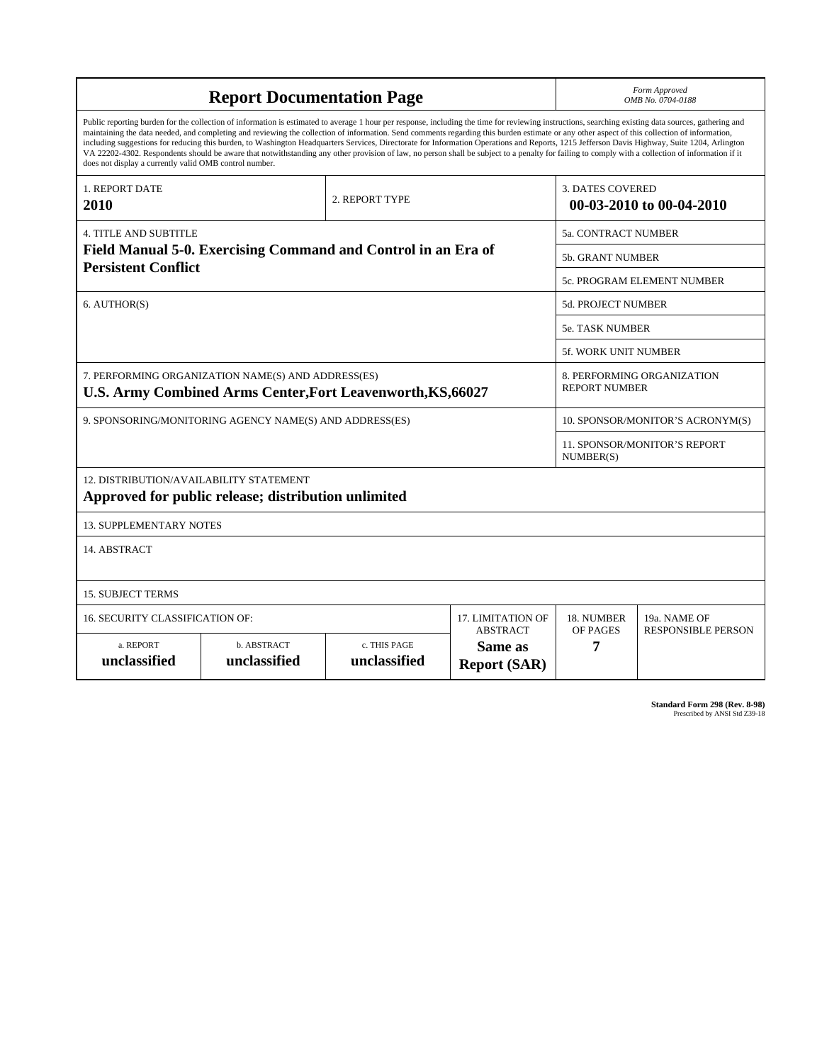| <b>Report Documentation Page</b>                                                                                                                                                                                                                                                                                                                                                                                                                                                                                                                                                                                                                                                                                                                                                                                                                                   |                             |                              |                                                     | Form Approved<br>OMB No. 0704-0188                 |                                           |
|--------------------------------------------------------------------------------------------------------------------------------------------------------------------------------------------------------------------------------------------------------------------------------------------------------------------------------------------------------------------------------------------------------------------------------------------------------------------------------------------------------------------------------------------------------------------------------------------------------------------------------------------------------------------------------------------------------------------------------------------------------------------------------------------------------------------------------------------------------------------|-----------------------------|------------------------------|-----------------------------------------------------|----------------------------------------------------|-------------------------------------------|
| Public reporting burden for the collection of information is estimated to average 1 hour per response, including the time for reviewing instructions, searching existing data sources, gathering and<br>maintaining the data needed, and completing and reviewing the collection of information. Send comments regarding this burden estimate or any other aspect of this collection of information,<br>including suggestions for reducing this burden, to Washington Headquarters Services, Directorate for Information Operations and Reports, 1215 Jefferson Davis Highway, Suite 1204, Arlington<br>VA 22202-4302. Respondents should be aware that notwithstanding any other provision of law, no person shall be subject to a penalty for failing to comply with a collection of information if it<br>does not display a currently valid OMB control number. |                             |                              |                                                     |                                                    |                                           |
| 1. REPORT DATE<br>2010                                                                                                                                                                                                                                                                                                                                                                                                                                                                                                                                                                                                                                                                                                                                                                                                                                             | 2. REPORT TYPE              |                              | <b>3. DATES COVERED</b><br>00-03-2010 to 00-04-2010 |                                                    |                                           |
| <b>4. TITLE AND SUBTITLE</b>                                                                                                                                                                                                                                                                                                                                                                                                                                                                                                                                                                                                                                                                                                                                                                                                                                       |                             |                              |                                                     | 5a. CONTRACT NUMBER                                |                                           |
| Field Manual 5-0. Exercising Command and Control in an Era of<br><b>Persistent Conflict</b>                                                                                                                                                                                                                                                                                                                                                                                                                                                                                                                                                                                                                                                                                                                                                                        |                             |                              |                                                     | 5b. GRANT NUMBER                                   |                                           |
|                                                                                                                                                                                                                                                                                                                                                                                                                                                                                                                                                                                                                                                                                                                                                                                                                                                                    |                             |                              |                                                     | <b>5c. PROGRAM ELEMENT NUMBER</b>                  |                                           |
| 6. AUTHOR(S)                                                                                                                                                                                                                                                                                                                                                                                                                                                                                                                                                                                                                                                                                                                                                                                                                                                       |                             |                              |                                                     | 5d. PROJECT NUMBER                                 |                                           |
|                                                                                                                                                                                                                                                                                                                                                                                                                                                                                                                                                                                                                                                                                                                                                                                                                                                                    |                             |                              |                                                     | <b>5e. TASK NUMBER</b>                             |                                           |
|                                                                                                                                                                                                                                                                                                                                                                                                                                                                                                                                                                                                                                                                                                                                                                                                                                                                    |                             |                              |                                                     | 5f. WORK UNIT NUMBER                               |                                           |
| 7. PERFORMING ORGANIZATION NAME(S) AND ADDRESS(ES)<br>U.S. Army Combined Arms Center, Fort Leavenworth, KS, 66027                                                                                                                                                                                                                                                                                                                                                                                                                                                                                                                                                                                                                                                                                                                                                  |                             |                              |                                                     | 8. PERFORMING ORGANIZATION<br><b>REPORT NUMBER</b> |                                           |
| 9. SPONSORING/MONITORING AGENCY NAME(S) AND ADDRESS(ES)                                                                                                                                                                                                                                                                                                                                                                                                                                                                                                                                                                                                                                                                                                                                                                                                            |                             |                              |                                                     | 10. SPONSOR/MONITOR'S ACRONYM(S)                   |                                           |
|                                                                                                                                                                                                                                                                                                                                                                                                                                                                                                                                                                                                                                                                                                                                                                                                                                                                    |                             |                              |                                                     | <b>11. SPONSOR/MONITOR'S REPORT</b><br>NUMBER(S)   |                                           |
| 12. DISTRIBUTION/AVAILABILITY STATEMENT<br>Approved for public release; distribution unlimited                                                                                                                                                                                                                                                                                                                                                                                                                                                                                                                                                                                                                                                                                                                                                                     |                             |                              |                                                     |                                                    |                                           |
| <b>13. SUPPLEMENTARY NOTES</b>                                                                                                                                                                                                                                                                                                                                                                                                                                                                                                                                                                                                                                                                                                                                                                                                                                     |                             |                              |                                                     |                                                    |                                           |
| 14. ABSTRACT                                                                                                                                                                                                                                                                                                                                                                                                                                                                                                                                                                                                                                                                                                                                                                                                                                                       |                             |                              |                                                     |                                                    |                                           |
| <b>15. SUBJECT TERMS</b>                                                                                                                                                                                                                                                                                                                                                                                                                                                                                                                                                                                                                                                                                                                                                                                                                                           |                             |                              |                                                     |                                                    |                                           |
| <b>16. SECURITY CLASSIFICATION OF:</b><br>17. LIMITATION OF<br><b>ABSTRACT</b>                                                                                                                                                                                                                                                                                                                                                                                                                                                                                                                                                                                                                                                                                                                                                                                     |                             |                              |                                                     | 18. NUMBER<br>OF PAGES                             | 19a. NAME OF<br><b>RESPONSIBLE PERSON</b> |
| a. REPORT<br>unclassified                                                                                                                                                                                                                                                                                                                                                                                                                                                                                                                                                                                                                                                                                                                                                                                                                                          | b. ABSTRACT<br>unclassified | c. THIS PAGE<br>unclassified | Same as<br><b>Report (SAR)</b>                      | 7                                                  |                                           |

**Standard Form 298 (Rev. 8-98)**<br>Prescribed by ANSI Std Z39-18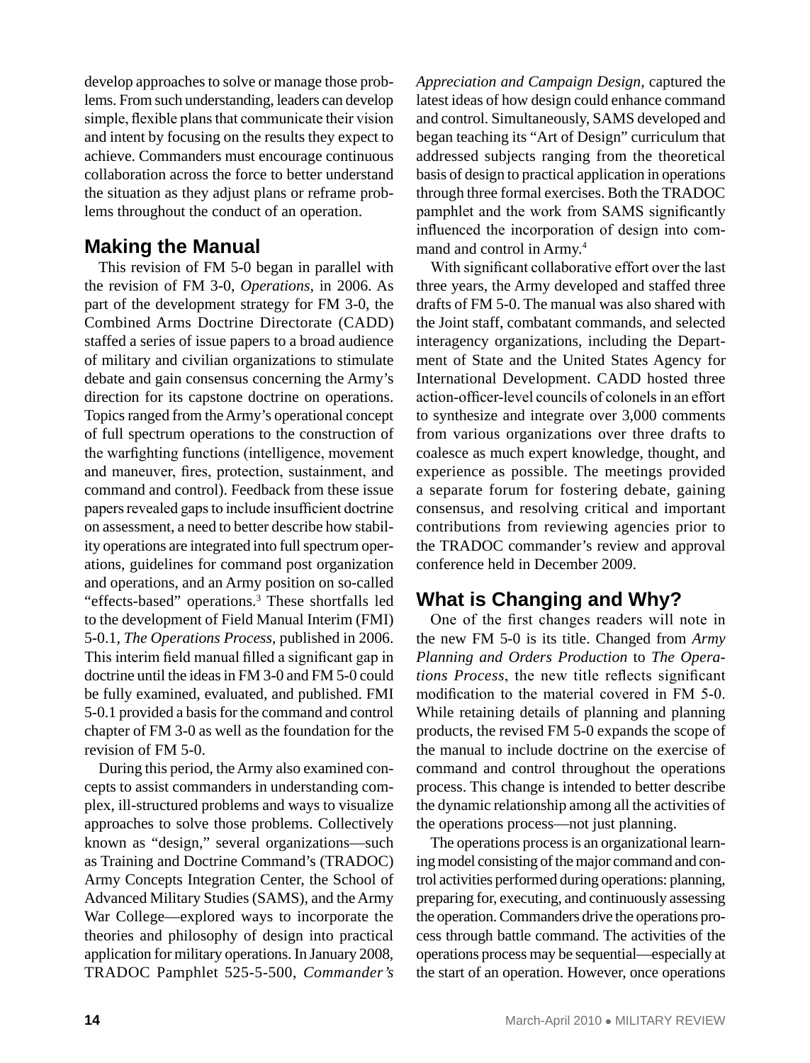develop approaches to solve or manage those problems. From such understanding, leaders can develop simple, flexible plans that communicate their vision and intent by focusing on the results they expect to achieve. Commanders must encourage continuous collaboration across the force to better understand the situation as they adjust plans or reframe problems throughout the conduct of an operation.

#### **Making the Manual**

This revision of FM 5-0 began in parallel with the revision of FM 3-0, *Operations,* in 2006. As part of the development strategy for FM 3-0, the Combined Arms Doctrine Directorate (CADD) staffed a series of issue papers to a broad audience of military and civilian organizations to stimulate debate and gain consensus concerning the Army's direction for its capstone doctrine on operations. Topics ranged from the Army's operational concept of full spectrum operations to the construction of the warfighting functions (intelligence, movement and maneuver, fires, protection, sustainment, and command and control). Feedback from these issue papers revealed gaps to include insufficient doctrine on assessment, a need to better describe how stability operations are integrated into full spectrum operations, guidelines for command post organization and operations, and an Army position on so-called "effects-based" operations.3 These shortfalls led to the development of Field Manual Interim (FMI) 5-0.1, *The Operations Process*, published in 2006. This interim field manual filled a significant gap in doctrine until the ideas in FM 3-0 and FM 5-0 could be fully examined, evaluated, and published. FMI 5-0.1 provided a basis for the command and control chapter of FM 3-0 as well as the foundation for the revision of FM 5-0.

During this period, the Army also examined concepts to assist commanders in understanding complex, ill-structured problems and ways to visualize approaches to solve those problems. Collectively known as "design," several organizations—such as Training and Doctrine Command's (TRADOC) Army Concepts Integration Center, the School of Advanced Military Studies (SAMS), and the Army War College—explored ways to incorporate the theories and philosophy of design into practical application for military operations. In January 2008, TRADOC Pamphlet 525-5-500, *Commander's* 

*Appreciation and Campaign Design,* captured the latest ideas of how design could enhance command and control. Simultaneously, SAMS developed and began teaching its "Art of Design" curriculum that addressed subjects ranging from the theoretical basis of design to practical application in operations through three formal exercises. Both the TRADOC pamphlet and the work from SAMS significantly influenced the incorporation of design into command and control in Army.4

With significant collaborative effort over the last three years, the Army developed and staffed three drafts of FM 5-0. The manual was also shared with the Joint staff, combatant commands, and selected interagency organizations, including the Department of State and the United States Agency for International Development. CADD hosted three action-officer-level councils of colonels in an effort to synthesize and integrate over 3,000 comments from various organizations over three drafts to coalesce as much expert knowledge, thought, and experience as possible. The meetings provided a separate forum for fostering debate, gaining consensus, and resolving critical and important contributions from reviewing agencies prior to the TRADOC commander's review and approval conference held in December 2009.

### **What is Changing and Why?**

One of the first changes readers will note in the new FM 5-0 is its title. Changed from *Army Planning and Orders Production* to *The Operations Process*, the new title reflects significant modification to the material covered in FM 5-0. While retaining details of planning and planning products, the revised FM 5-0 expands the scope of the manual to include doctrine on the exercise of command and control throughout the operations process. This change is intended to better describe the dynamic relationship among all the activities of the operations process—not just planning.

The operations process is an organizational learning model consisting of the major command and control activities performed during operations: planning, preparing for, executing, and continuously assessing the operation. Commanders drive the operations process through battle command. The activities of the operations process may be sequential—especially at the start of an operation. However, once operations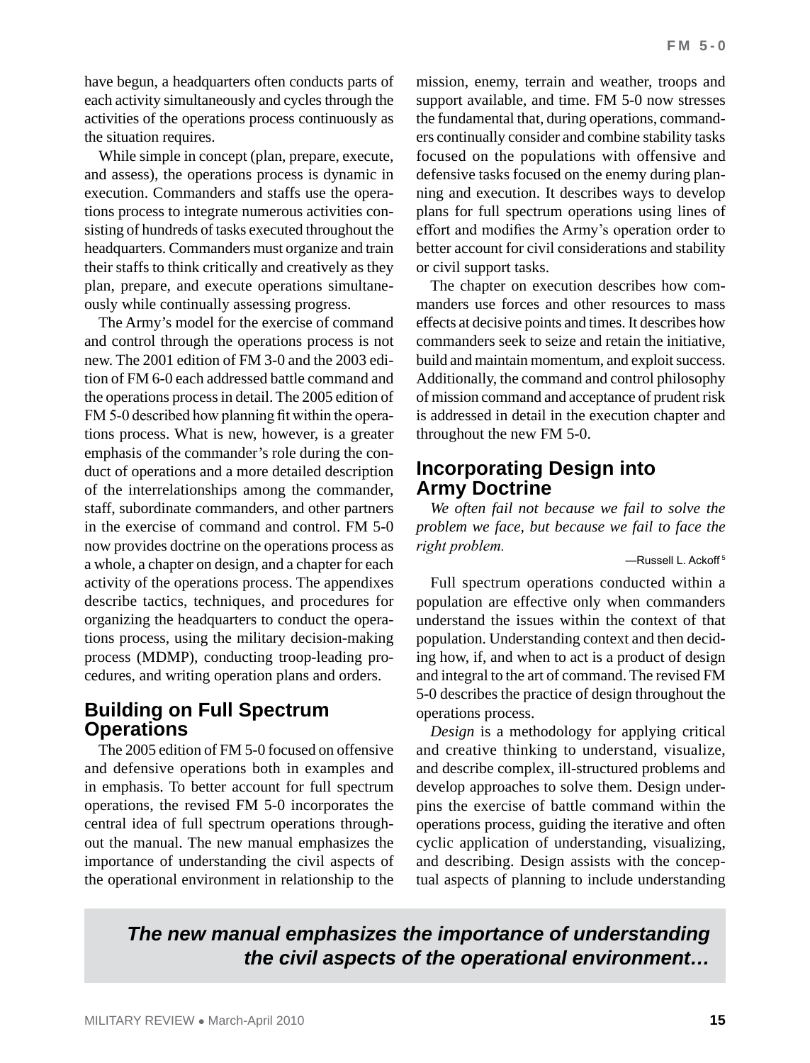have begun, a headquarters often conducts parts of each activity simultaneously and cycles through the activities of the operations process continuously as the situation requires.

While simple in concept (plan, prepare, execute, and assess), the operations process is dynamic in execution. Commanders and staffs use the operations process to integrate numerous activities consisting of hundreds of tasks executed throughout the headquarters. Commanders must organize and train their staffs to think critically and creatively as they plan, prepare, and execute operations simultaneously while continually assessing progress.

The Army's model for the exercise of command and control through the operations process is not new. The 2001 edition of FM 3-0 and the 2003 edition of FM 6-0 each addressed battle command and the operations process in detail. The 2005 edition of FM 5-0 described how planning fit within the operations process. What is new, however, is a greater emphasis of the commander's role during the conduct of operations and a more detailed description of the interrelationships among the commander, staff, subordinate commanders, and other partners in the exercise of command and control. FM 5-0 now provides doctrine on the operations process as a whole, a chapter on design, and a chapter for each activity of the operations process. The appendixes describe tactics, techniques, and procedures for organizing the headquarters to conduct the operations process, using the military decision-making process (MDMP), conducting troop-leading procedures, and writing operation plans and orders.

#### **Building on Full Spectrum Operations**

The 2005 edition of FM 5-0 focused on offensive and defensive operations both in examples and in emphasis. To better account for full spectrum operations, the revised FM 5-0 incorporates the central idea of full spectrum operations throughout the manual. The new manual emphasizes the importance of understanding the civil aspects of the operational environment in relationship to the

mission, enemy, terrain and weather, troops and support available, and time. FM 5-0 now stresses the fundamental that, during operations, commanders continually consider and combine stability tasks focused on the populations with offensive and defensive tasks focused on the enemy during planning and execution. It describes ways to develop plans for full spectrum operations using lines of effort and modifies the Army's operation order to better account for civil considerations and stability or civil support tasks.

The chapter on execution describes how commanders use forces and other resources to mass effects at decisive points and times. It describes how commanders seek to seize and retain the initiative, build and maintain momentum, and exploit success. Additionally, the command and control philosophy of mission command and acceptance of prudent risk is addressed in detail in the execution chapter and throughout the new FM 5-0.

#### **Incorporating Design into Army Doctrine**

*We often fail not because we fail to solve the problem we face, but because we fail to face the right problem.*

—Russell L. Ackoff <sup>5</sup>

Full spectrum operations conducted within a population are effective only when commanders understand the issues within the context of that population. Understanding context and then deciding how, if, and when to act is a product of design and integral to the art of command. The revised FM 5-0 describes the practice of design throughout the operations process.

*Design* is a methodology for applying critical and creative thinking to understand, visualize, and describe complex, ill-structured problems and develop approaches to solve them. Design underpins the exercise of battle command within the operations process, guiding the iterative and often cyclic application of understanding, visualizing, and describing. Design assists with the conceptual aspects of planning to include understanding

*The new manual emphasizes the importance of understanding the civil aspects of the operational environment…*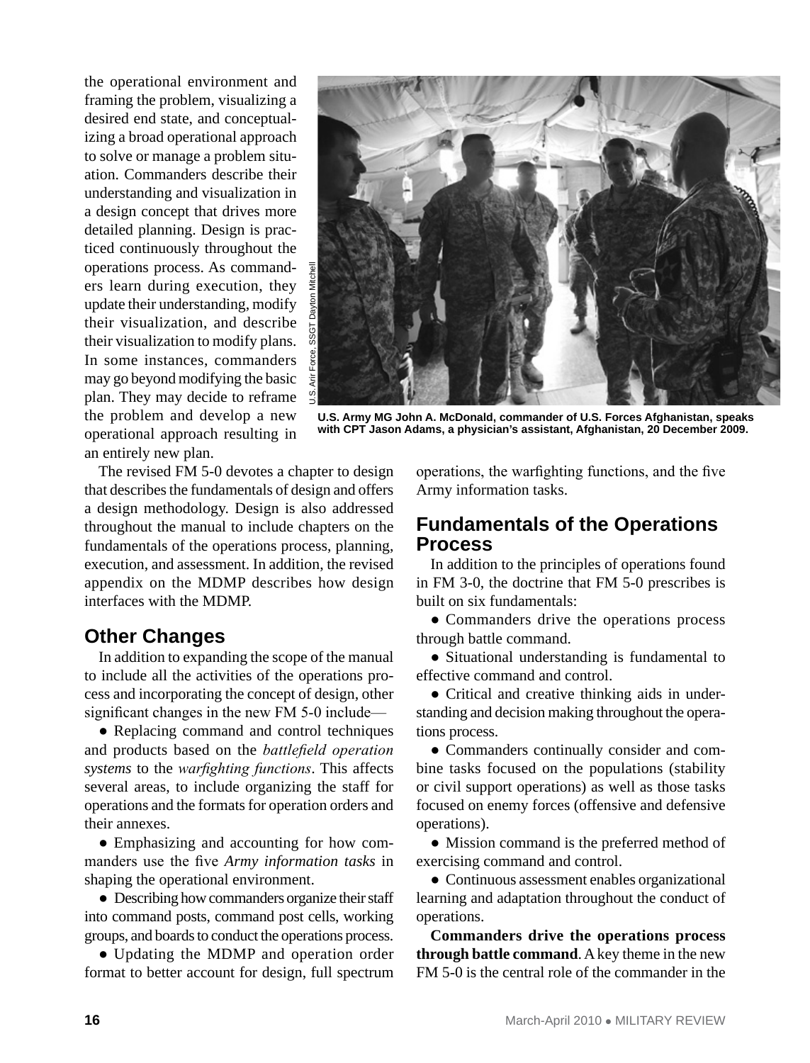the operational environment and framing the problem, visualizing a desired end state, and conceptualizing a broad operational approach to solve or manage a problem situation. Commanders describe their understanding and visualization in a design concept that drives more detailed planning. Design is practiced continuously throughout the operations process. As commanders learn during execution, they update their understanding, modify their visualization, and describe their visualization to modify plans. In some instances, commanders may go beyond modifying the basic plan. They may decide to reframe the problem and develop a new operational approach resulting in an entirely new plan.



**U.S. Army MG John A. McDonald, commander of U.S. Forces Afghanistan, speaks with CPT Jason Adams, a physician's assistant, Afghanistan, 20 December 2009.**

The revised FM 5-0 devotes a chapter to design that describes the fundamentals of design and offers a design methodology. Design is also addressed throughout the manual to include chapters on the fundamentals of the operations process, planning, execution, and assessment. In addition, the revised appendix on the MDMP describes how design interfaces with the MDMP.

#### **Other Changes**

In addition to expanding the scope of the manual to include all the activities of the operations process and incorporating the concept of design, other significant changes in the new FM 5-0 include—

• Replacing command and control techniques and products based on the *battlefield operation systems* to the *warfighting functions*. This affects several areas, to include organizing the staff for operations and the formats for operation orders and their annexes.

• Emphasizing and accounting for how commanders use the five *Army information tasks* in shaping the operational environment.

• Describing how commanders organize their staff into command posts, command post cells, working groups, and boards to conduct the operations process.

● Updating the MDMP and operation order format to better account for design, full spectrum operations, the warfighting functions, and the five Army information tasks.

#### **Fundamentals of the Operations Process**

In addition to the principles of operations found in FM 3-0, the doctrine that FM 5-0 prescribes is built on six fundamentals:

• Commanders drive the operations process through battle command.

● Situational understanding is fundamental to effective command and control.

● Critical and creative thinking aids in understanding and decision making throughout the operations process.

● Commanders continually consider and combine tasks focused on the populations (stability or civil support operations) as well as those tasks focused on enemy forces (offensive and defensive operations).

• Mission command is the preferred method of exercising command and control.

● Continuous assessment enables organizational learning and adaptation throughout the conduct of operations.

**Commanders drive the operations process through battle command**. A key theme in the new FM 5-0 is the central role of the commander in the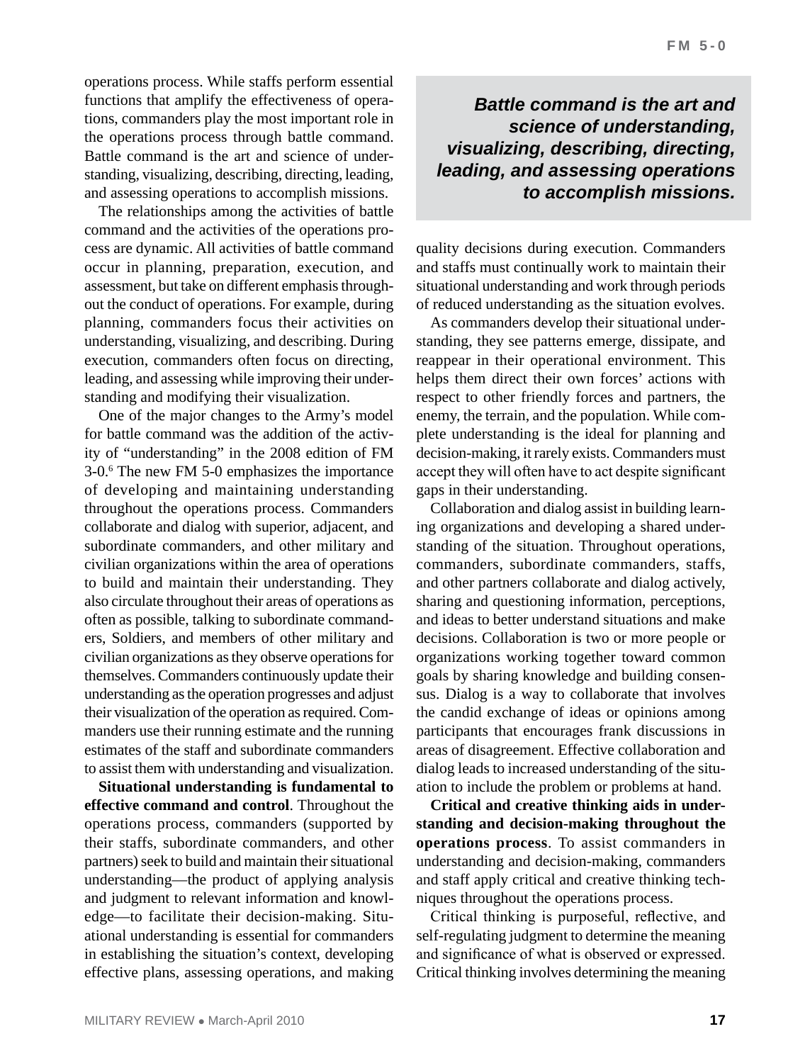operations process. While staffs perform essential functions that amplify the effectiveness of operations, commanders play the most important role in the operations process through battle command. Battle command is the art and science of understanding, visualizing, describing, directing, leading, and assessing operations to accomplish missions.

The relationships among the activities of battle command and the activities of the operations process are dynamic. All activities of battle command occur in planning, preparation, execution, and assessment, but take on different emphasis throughout the conduct of operations. For example, during planning, commanders focus their activities on understanding, visualizing, and describing. During execution, commanders often focus on directing, leading, and assessing while improving their understanding and modifying their visualization.

One of the major changes to the Army's model for battle command was the addition of the activity of "understanding" in the 2008 edition of FM 3-0.6 The new FM 5-0 emphasizes the importance of developing and maintaining understanding throughout the operations process. Commanders collaborate and dialog with superior, adjacent, and subordinate commanders, and other military and civilian organizations within the area of operations to build and maintain their understanding. They also circulate throughout their areas of operations as often as possible, talking to subordinate commanders, Soldiers, and members of other military and civilian organizations as they observe operations for themselves. Commanders continuously update their understanding as the operation progresses and adjust their visualization of the operation as required. Commanders use their running estimate and the running estimates of the staff and subordinate commanders to assist them with understanding and visualization.

**Situational understanding is fundamental to effective command and control**. Throughout the operations process, commanders (supported by their staffs, subordinate commanders, and other partners) seek to build and maintain their situational understanding—the product of applying analysis and judgment to relevant information and knowledge—to facilitate their decision-making. Situational understanding is essential for commanders in establishing the situation's context, developing effective plans, assessing operations, and making

#### *Battle command is the art and science of understanding, visualizing, describing, directing, leading, and assessing operations to accomplish missions.*

quality decisions during execution. Commanders and staffs must continually work to maintain their situational understanding and work through periods of reduced understanding as the situation evolves.

As commanders develop their situational understanding, they see patterns emerge, dissipate, and reappear in their operational environment. This helps them direct their own forces' actions with respect to other friendly forces and partners, the enemy, the terrain, and the population. While complete understanding is the ideal for planning and decision-making, it rarely exists. Commanders must accept they will often have to act despite significant gaps in their understanding.

Collaboration and dialog assist in building learning organizations and developing a shared understanding of the situation. Throughout operations, commanders, subordinate commanders, staffs, and other partners collaborate and dialog actively, sharing and questioning information, perceptions, and ideas to better understand situations and make decisions. Collaboration is two or more people or organizations working together toward common goals by sharing knowledge and building consensus. Dialog is a way to collaborate that involves the candid exchange of ideas or opinions among participants that encourages frank discussions in areas of disagreement. Effective collaboration and dialog leads to increased understanding of the situation to include the problem or problems at hand.

**Critical and creative thinking aids in understanding and decision-making throughout the operations process**. To assist commanders in understanding and decision-making, commanders and staff apply critical and creative thinking techniques throughout the operations process.

Critical thinking is purposeful, reflective, and self-regulating judgment to determine the meaning and significance of what is observed or expressed. Critical thinking involves determining the meaning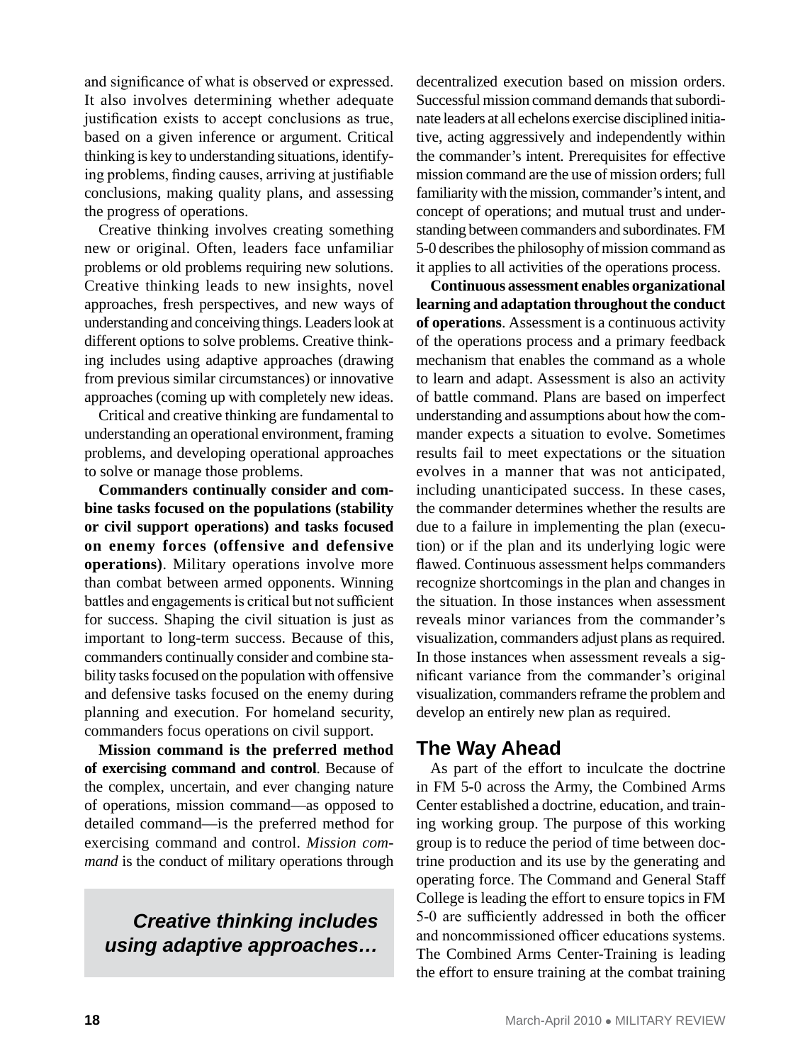and significance of what is observed or expressed. It also involves determining whether adequate justification exists to accept conclusions as true, based on a given inference or argument. Critical thinking is key to understanding situations, identifying problems, finding causes, arriving at justifiable conclusions, making quality plans, and assessing the progress of operations.

Creative thinking involves creating something new or original. Often, leaders face unfamiliar problems or old problems requiring new solutions. Creative thinking leads to new insights, novel approaches, fresh perspectives, and new ways of understanding and conceiving things. Leaders look at different options to solve problems. Creative thinking includes using adaptive approaches (drawing from previous similar circumstances) or innovative approaches (coming up with completely new ideas.

Critical and creative thinking are fundamental to understanding an operational environment, framing problems, and developing operational approaches to solve or manage those problems.

**Commanders continually consider and combine tasks focused on the populations (stability or civil support operations) and tasks focused on enemy forces (offensive and defensive operations)**. Military operations involve more than combat between armed opponents. Winning battles and engagements is critical but not sufficient for success. Shaping the civil situation is just as important to long-term success. Because of this, commanders continually consider and combine stability tasks focused on the population with offensive and defensive tasks focused on the enemy during planning and execution. For homeland security, commanders focus operations on civil support.

**Mission command is the preferred method of exercising command and control**. Because of the complex, uncertain, and ever changing nature of operations, mission command—as opposed to detailed command—is the preferred method for exercising command and control. *Mission command* is the conduct of military operations through

### *Creative thinking includes using adaptive approaches…*

decentralized execution based on mission orders. Successful mission command demands that subordinate leaders at all echelons exercise disciplined initiative, acting aggressively and independently within the commander's intent. Prerequisites for effective mission command are the use of mission orders; full familiarity with the mission, commander's intent, and concept of operations; and mutual trust and understanding between commanders and subordinates. FM 5-0 describes the philosophy of mission command as it applies to all activities of the operations process.

**Continuous assessment enables organizational learning and adaptation throughout the conduct of operations**. Assessment is a continuous activity of the operations process and a primary feedback mechanism that enables the command as a whole to learn and adapt. Assessment is also an activity of battle command. Plans are based on imperfect understanding and assumptions about how the commander expects a situation to evolve. Sometimes results fail to meet expectations or the situation evolves in a manner that was not anticipated, including unanticipated success. In these cases, the commander determines whether the results are due to a failure in implementing the plan (execution) or if the plan and its underlying logic were flawed. Continuous assessment helps commanders recognize shortcomings in the plan and changes in the situation. In those instances when assessment reveals minor variances from the commander's visualization, commanders adjust plans as required. In those instances when assessment reveals a significant variance from the commander's original visualization, commanders reframe the problem and develop an entirely new plan as required.

#### **The Way Ahead**

As part of the effort to inculcate the doctrine in FM 5-0 across the Army, the Combined Arms Center established a doctrine, education, and training working group. The purpose of this working group is to reduce the period of time between doctrine production and its use by the generating and operating force. The Command and General Staff College is leading the effort to ensure topics in FM 5-0 are sufficiently addressed in both the officer and noncommissioned officer educations systems. The Combined Arms Center-Training is leading the effort to ensure training at the combat training